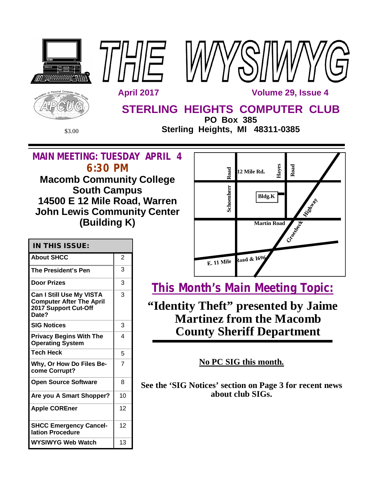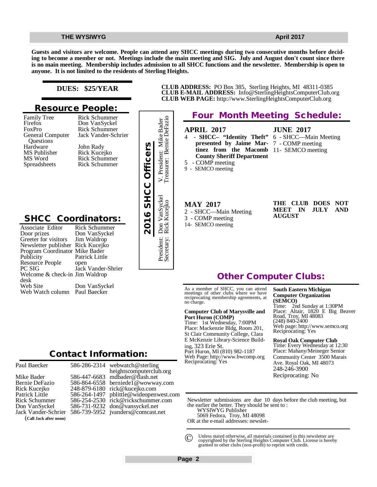**Guests and visitors are welcome. People can attend any SHCC meetings during two consecutive months before deciding to become a member or not. Meetings include the main meeting and SIG. July and August don't count since there is no main meeting. Membership includes admission to all SHCC functions and the newsletter. Membership is open to anyone. It is not limited to the residents of Sterling Heights.**

### **DUES: \$25/YEAR**

### **Resource People:**

Family Tree Firefox FoxPro General Computer Questions Hardware MS Publisher MS Word Spreadsheets

Rick Schummer Jack Vander-Schrier John Rady Rick Kucejko Rick Schummer Rick Schummer

Rick Schummer Don VanSyckel

# **SHCC Coordinators:**

| ↽<br>Hardware<br>MS Publisher<br>MS Word<br>Spreadsheets                                                                                                                                                                                                                        | John Rady<br>Rick Kucejko<br><b>Rick Schummer</b><br><b>Rick Schummer</b>                                                      | 2016 SHCC Officers |
|---------------------------------------------------------------------------------------------------------------------------------------------------------------------------------------------------------------------------------------------------------------------------------|--------------------------------------------------------------------------------------------------------------------------------|--------------------|
| <b>SHCC Coordinators:</b><br>Associate Editor<br>Door prizes<br>Greeter for visitors<br>Newsletter publisher Rick Kucejko<br>Program Coordinator Mike Bader<br>Publicity<br>Resource People<br>PC SIG<br>Welcome & check-in Jim Waldrop<br>desk<br>Web Site<br>Web Watch column | Rick Schummer<br>Don VanSyckel<br>Jim Waldrop<br>Patrick Little<br>open<br>Jack Vander-Shrier<br>Don VanSyckel<br>Paul Baecker |                    |
|                                                                                                                                                                                                                                                                                 | <b>Contact Information:</b>                                                                                                    |                    |

# President: Mike Bader<br>28 asurer: Bernie DeFazio Secretary: Rick Kucejko Treasurer: Bernie DeFazio President: Don VanSyckel V. President: Mike Bader V. Presiden<br>Treasurer: 1 Don VanSyckel<br>Rick Kucejko President: 1<br>Secretary: 1

# **Four Month Meeting Schedule:**

**CLUB ADDRESS:** PO Box 385, Sterling Heights, MI 48311-0385 **CLUB E-MAIL ADDRESS:** [Info@SterlingHeightsComputerClub.org](mailto:Info@SterlingHeightsComputerClub.org) **CLUB WEB PAGE:** <http://www.SterlingHeightsComputerClub.org>

### **APRIL 2017**

4 - **SHCC– "Identity Theft" presented by Jaime Mar-**7 - COMP meeting **tinez from the Macomb**  11- SEMCO meeting **County Sheriff Department** 5 - COMP meeting

- **JUNE 2017** 6 - SHCC—Main Meeting
- 

### **MAY 2017**

9 - SEMCO meeting

- 2 SHCC—Main Meeting 3 - COMP meeting
- 14- SEMCO meeting

|        | THE CLUB DOES NOT |  |
|--------|-------------------|--|
|        | MEET IN JULY AND  |  |
| AUGUST |                   |  |

# **Other Computer Clubs:**

As a member of SHCC, you can attend meetings of other clubs where we have reciprocating membership agreements, at no charge.

### **Computer Club of Marysville and Port Huron (COMP)**

Time: 1st Wednesday, 7:00PM Place: Mackenzie Bldg, Room 201, St Clair Community College, Clara E McKenzie Library-Science Building, 323 Erie St. Port Huron, MI (810) 982-1187 Web Page:<http://www.bwcomp.org> Reciprocating: Yes

### **South Eastern Michigan Computer Organization (SEMCO)**

Time: 2nd Sunday at 1:30PM Place: Altair, 1820 E Big Beaver Road, Troy, MI 48083 (248) 840-2400 Web page: <http://www.semco.org> Reciprocating: Yes

### **Royal Oak Computer Club**

Time: Every Wednesday at 12:30 Place: Mahany/Meineger Senior Community Center 3500 Marais Ave. Royal Oak, MI 48073 248-246-3900 Reciprocating: No

Newsletter submissions are due 10 days before the club meeting, but the earlier the better. They should be sent to :

WYSIWYG Publisher

5069 Fedora, Troy, MI 48098

OR at the e-mail addresses: newslet-

Unless stated otherwise, all materials contained in this newsletter are copyrighted by the Sterling Heights Computer Club. License is hereby granted to other clubs (non-profit) to reprint with credit.  $\odot$ 

Paul Baecker Mike Bader Bernie DeFazio Rick Kucejko Patrick Little Rick Schummer Don VanSyckel Jack Vander-Schrier (**Call Jack after noon)** 586-286-2314

586-447-6683 586-864-6558 248-879-6180 [rick@kucejko.com](mailto:rick@kucejko.com) 586-264-1497 [pblittle@wideopenwest.com](mailto:pblittle@wideopenwest.com) 586-254-2530 [rick@rickschummer.com](mailto:rick@rickschummer.com) 586-731-9232 [don@vansyckel.net](mailto:don@vansyckel.net) 586-739-5952 [jvanders@comcast.net](mailto:jvanders@comcast.net) [mdbader@flash.net](mailto:mdbader@flash.net) [berniede1@wowway.com](mailto:berniede1@wowway.com)

webwatch@sterling heightscomputerclub.org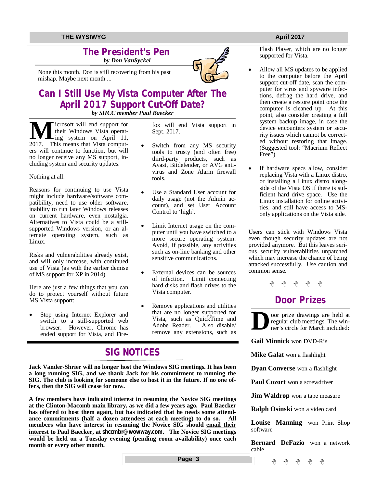### **The President's Pen**   *by Don VanSyckel*

None this month. Don is still recovering from his past mishap. Maybe next month ...

## **Can I Still Use My Vista Computer After The April 2017 Support Cut-Off Date?** *by SHCC member Paul Baecker*

**M** icrosoft will end support for<br>their Windows Vista operat-<br>2017. This means that Vista computicrosoft will end support for their Windows Vista operating system on April 11, ers will continue to function, but will no longer receive any MS support, including system and security updates.

Nothing at all.

Reasons for continuing to use Vista might include hardware/software compatibility, need to use older software, inability to run later Windows releases on current hardware, even nostalgia. Alternatives to Vista could be a stillsupported Windows version, or an alternate operating system, such as Linux.

Risks and vulnerabilities already exist, and will only increase, with continued use of Vista (as with the earlier demise of MS support for XP in 2014).

Here are just a few things that you can do to protect yourself without future MS Vista support:

 Stop using Internet Explorer and switch to a still-supported web browser. However, Chrome has ended support for Vista, and Firefox will end Vista support in Sept. 2017.

- Switch from any MS security tools to trusty (and often free) third-party products, such as Avast, Bitdefender, or AVG antivirus and Zone Alarm firewall tools.
- Use a Standard User account for daily usage (not the Admin account), and set User Account Control to 'high'.
- Limit Internet usage on the computer until you have switched to a more secure operating system. Avoid, if possible, any activities such as on-line banking and other sensitive communications.
- External devices can be sources of infection. Limit connecting hard disks and flash drives to the Vista computer.
- Remove applications and utilities that are no longer supported for Vista, such as QuickTime and Adobe Reader. remove any extensions, such as

# **SIG NOTICES**

**Jack Vander-Shrier will no longer host the Windows SIG meetings. It has been a long running SIG, and we thank Jack for his commitment to running the SIG. The club is looking for someone else to host it in the future. If no one offers, then the SIG will cease for now.**

**A few members have indicated interest in resuming the Novice SIG meetings at the Clinton-Macomb main library, as we did a few years ago. Paul Baecker has offered to host them again, but has indicated that he needs some attendance commitments (half a dozen attendees at each meeting) to do so. All members who have interest in resuming the Novice SIG should email their interest to Paul Baecker, at [shccmbr@wowway.com](mailto:shccmbr@wowway.com). The Novice SIG meetings would be held on a Tuesday evening (pending room availability) once each month or every other month.**

Flash Player, which are no longer supported for Vista.

- Allow all MS updates to be applied to the computer before the April support cut-off date, scan the computer for virus and spyware infections, defrag the hard drive, and then create a restore point once the computer is cleaned up. At this point, also consider creating a full system backup image, in case the device encounters system or security issues which cannot be corrected without restoring that image. (Suggested tool: "Macrium Reflect Free")
- If hardware specs allow, consider replacing Vista with a Linux distro, or installing a Linux distro alongside of the Vista OS if there is sufficient hard drive space. Use the Linux installation for online activities, and still have access to MSonly applications on the Vista side.

Users can stick with Windows Vista even though security updates are not provided anymore. But this leaves serious security vulnerabilities unpatched which may increase the chance of being attacked successfully. Use caution and common sense.

. 4 4 4 4

# **Door Prizes**

**D** oor prize drawings are held at regular club meetings. The winner's circle for March included:

**Gail Minnick** won DVD-R's

**Mike Galat** won a flashlight

**Dyan Converse** won a flashlight

Paul Cozort won a screwdriver

**Jim Waldrop** won a tape measure

**Ralph Osinski** won a video card

**Louise Manning** won Print Shop software

**Bernard DeFazio** won a network cable

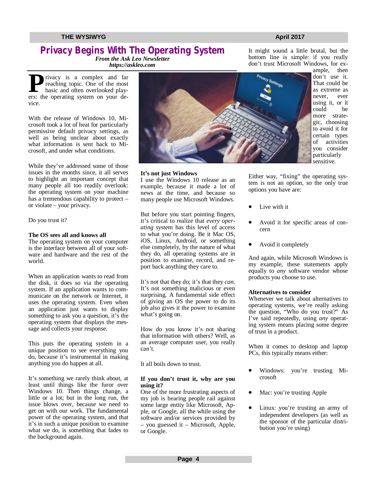# **Privacy Begins With The Operating System**

*From the Ask Leo Newsletter <https://askleo.com>*

**P**erside privacy is a complex and far
reaching topic. One of the most<br>
basic and often overlooked play-<br>
ers: the operating system on your derivacy is a complex and far reaching topic. One of the most basic and often overlooked playvice.

With the release of Windows 10, Microsoft took a lot of heat for particularly permissive default privacy settings, as well as being unclear about exactly what information is sent back to Microsoft, and under what conditions.

While they've addressed some of those issues in the months since, it all serves to highlight an important concept that many people all too readily overlook: the operating system on your machine has a tremendous capability to protect – or violate – your privacy.

Do you trust it?

### **The OS sees all and knows all**

The operating system on your computer is the interface between all of your software and hardware and the rest of the world.

When an application wants to read from the disk, it does so via the operating system. If an application wants to communicate on the network or Internet, it uses the operating system. Even when an application just wants to display something to ask you a question, it's the operating system that displays the message and collects your response.

This puts the operating system in a unique position to see everything you do, because it's instrumental in making anything you do happen at all.

It's something we rarely think about, at least until things like the furor over Windows 10. Then things change, a little or a lot; but in the long run, the issue blows over, because we need to get on with our work. The fundamental power of the operating system, and that it's in such a unique position to examine what we do, is something that fades to the background again.



# don't trust Microsoft Windows, for example, then

don't use it. That could be as extreme as never, ever using it, or it could be more strategic, choosing to avoid it for certain types of activities you consider particularly sensitive.

**It's not just Windows**

I use the Windows 10 release as an example, because it made a lot of news at the time, and because so many people use Microsoft Windows.

But before you start pointing fingers, it's critical to realize that *every operating* system has this level of access to what you're doing. Be it Mac OS, iOS, Linux, Android, or something else completely, by the nature of what they do, all operating systems are in position to examine, record, and report back anything they care to.

It's not that they do; it's that they *can*. It's not something malicious or even surprising. A fundamental side effect of giving an OS the power to do its job also gives it the power to examine what's going on.

How do you know it's not sharing that information with others? Well, as an average computer user, you really can't.

It all boils down to trust.

### **If you don't trust it, why are you using it?**

One of the more frustrating aspects of my job is hearing people rail against some large entity like Microsoft, Apple, or Google, all the while using the software and/or services provided by – you guessed it – Microsoft, Apple, or Google.

Either way, "fixing" the operating system is not an option, so the only true options you have are:

- Live with it
- Avoid it for specific areas of concern
- Avoid it completely

And again, while Microsoft Windows is my example, these statements apply equally to *any* software vendor whose products you choose to use.

### **Alternatives to consider**

Whenever we talk about alternatives to operating systems, we're really asking the question, "Who do you trust?" As I've said repeatedly, using *any* operating system means placing some degree of trust in a product.

When it comes to desktop and laptop PCs, this typically means either:

- Windows: you're trusting Microsoft
- Mac: you're trusting Apple
- Linux: you're trusting an army of independent developers (as well as the sponsor of the particular distribution you're using)

It might sound a little brutal, but the bottom line is simple: if you really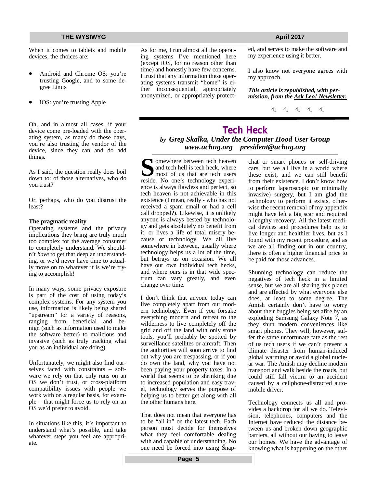When it comes to tablets and mobile devices, the choices are:

- Android and Chrome OS: you're trusting Google, and to some degree Linux
- iOS: you're trusting Apple

Oh, and in almost all cases, if your device come pre-loaded with the operating system, as many do these days, you're also trusting the vendor of the device, since they can and do add things.

As I said, the question really does boil down to: of those alternatives, who do you trust?

Or, perhaps, who do you distrust the least?

### **The pragmatic reality**

Operating systems and the privacy implications they bring are truly much too complex for the average consumer to completely understand. We shouldn't *have* to get that deep an understanding, or we'd never have time to actually move on to whatever it is we're trying to accomplish!

In many ways, some privacy exposure is part of the cost of using today's complex systems. For any system you use, information is likely being shared "upstream" for a variety of reasons, ranging from beneficial and benign (such as information used to make the software better) to malicious and invasive (such as truly tracking what you as an individual are doing).

Unfortunately, we might also find ourselves faced with constraints – software we rely on that only runs on an OS we don't trust, or cross-platform compatibility issues with people we work with on a regular basis, for example – that might force us to rely on an OS we'd prefer to avoid.

In situations like this, it's important to understand what's possible, and take whatever steps you feel are appropriate.

As for me, I run almost all the operating systems I've mentioned here (except iOS, for no reason other than time) and honestly have few concerns. I trust that any information these operating systems transmit "home" is either inconsequential, appropriately anonymized, or appropriately protect-

ed, and serves to make the software and my experience using it better.

I also know not everyone agrees with my approach.

*This article is republished, with permission, from the Ask Leo! Newsletter.* 

咱 咱 咱 咱 咱

### **Tech Heck** *by Greg Skalka, Under the Computer Hood User Group [www.uchug.org](http://www.uchug.org) [president@uchug.org](mailto:president@uchug.org)*

Somewhere between tech heaven<br>
and tech hell is tech heck, where<br>
most of us that are tech users<br>
reside. No one's technology experiomewhere between tech heaven and tech hell is tech heck, where most of us that are tech users ence is always flawless and perfect, so tech heaven is not achievable in this existence (I mean, really - who has not received a spam email or had a cell call dropped?). Likewise, it is unlikely anyone is always bested by technology and gets absolutely no benefit from it, or lives a life of total misery because of technology. We all live somewhere in between, usually where technology helps us a lot of the time, but betrays us on occasion. We all have our own individual tech hecks, and where ours is in that wide spectrum can vary greatly, and even change over time.

I don't think that anyone today can live completely apart from our modern technology. Even if you forsake everything modern and retreat to the wilderness to live completely off the grid and off the land with only stone tools, you'll probably be spotted by surveillance satellites or aircraft. Then the authorities will soon arrive to find out why you are trespassing, or if you do own the land, why you have not been paying your property taxes. In a world that seems to be shrinking due to increased population and easy travel, technology serves the purpose of helping us to better get along with all the other humans here.

That does not mean that everyone has to be "all in" on the latest tech. Each person must decide for themselves what they feel comfortable dealing with and capable of understanding. No one need be forced into using Snap-

chat or smart phones or self-driving cars, but we all live in a world where these exist, and we can still benefit from their existence. I don't know how to perform laparoscopic (or minimally invasive) surgery, but I am glad the technology to perform it exists, otherwise the recent removal of my appendix might have left a big scar and required a lengthy recovery. All the latest medical devices and procedures help us to live longer and healthier lives, but as I found with my recent procedure, and as we are all finding out in our country, there is often a higher financial price to be paid for those advances.

Shunning technology can reduce the negatives of tech heck in a limited sense, but we are all sharing this planet and are affected by what everyone else does, at least to some degree. The Amish certainly don't have to worry about their buggies being set afire by an exploding Samsung Galaxy Note 7, as they shun modern conveniences like smart phones. They will, however, suffer the same unfortunate fate as the rest of us tech users if we can't prevent a climate disaster from human-induced global warming or avoid a global nuclear war. The Amish may decline modern transport and walk beside the roads, but could still fall victim to an accident caused by a cellphone-distracted automobile driver.

Technology connects us all and provides a backdrop for all we do. Television, telephones, computers and the Internet have reduced the distance between us and broken down geographic barriers, all without our having to leave our homes. We have the advantage of knowing what is happening on the other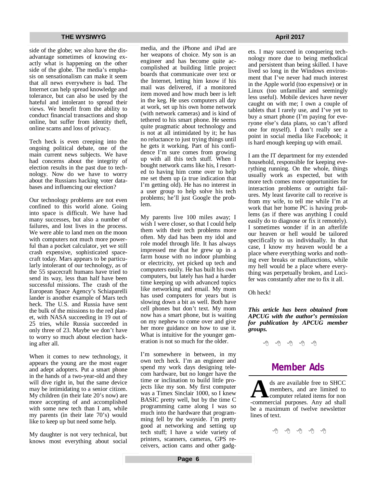side of the globe; we also have the disadvantage sometimes of knowing exactly what is happening on the other side of the globe. The media's emphasis on sensationalism can make it seem that all news everywhere is bad. The Internet can help spread knowledge and tolerance, but can also be used by the hateful and intolerant to spread their views. We benefit from the ability to conduct financial transactions and shop online, but suffer from identity theft, online scams and loss of privacy.

Tech heck is even creeping into the ongoing political debate, one of the main current news subjects. We have had concerns about the integrity of election results in the past due to technology. Now do we have to worry about the Russians hacking voter databases and influencing our election?

Our technology problems are not even confined to this world alone. Going into space is difficult. We have had many successes, but also a number of failures, and lost lives in the process. We were able to land men on the moon with computers not much more powerful than a pocket calculator, yet we still crash expensive, sophisticated spacecraft today. Mars appears to be particularly intolerant of our technology, as of the 55 spacecraft humans have tried to send its way, less than half have been successful missions. The crash of the European Space Agency's Schiaparelli lander is another example of Mars tech heck. The U.S. and Russia have sent the bulk of the missions to the red planet, with NASA succeeding in 19 out of 25 tries, while Russia succeeded in only three of 23. Maybe we don't have to worry so much about election hacking after all.

When it comes to new technology, it appears the young are the most eager and adept adopters. Put a smart phone in the hands of a two-year-old and they will dive right in, but the same device may be intimidating to a senior citizen. My children (in their late 20's now) are more accepting of and accomplished with some new tech than I am, while my parents (in their late 70's) would like to keep up but need some help.

My daughter is not very technical, but knows most everything about social media, and the iPhone and iPad are her weapons of choice. My son is an engineer and has become quite accomplished at building little project boards that communicate over text or the Internet, letting him know if his mail was delivered, if a monitored item moved and how much beer is left in the keg. He uses computers all day at work, set up his own home network (with network cameras) and is kind of tethered to his smart phone. He seems quite pragmatic about technology and is not at all intimidated by it; he has no reluctance to just trying things until he gets it working. Part of his confidence I'm sure comes from growing up with all this tech stuff. When I bought network cams like his, I resorted to having him come over to help me set them up (a true indication that I'm getting old). He has no interest in a user group to help solve his tech problems; he'll just Google the problem.

My parents live 100 miles away; I wish I were closer, so that I could help them with their tech problems more often. My dad has been my idol and role model through life. It has always impressed me that he grew up in a farm house with no indoor plumbing or electricity, yet picked up tech and computers easily. He has built his own computers, but lately has had a harder time keeping up with advanced topics like networking and email. My mom has used computers for years but is slowing down a bit as well. Both have cell phones but don't text. My mom now has a smart phone, but is waiting on my nephew to come over and give her more guidance on how to use it. What is intuitive for the younger generation is not so much for the older.

I'm somewhere in between, in my own tech heck. I'm an engineer and spend my work days designing telecom hardware, but no longer have the time or inclination to build little projects like my son. My first computer was a Timex Sinclair 1000, so I knew BASIC pretty well, but by the time C programming came along I was so much into the hardware that programming fell by the wayside. I'm pretty good at networking and setting up tech stuff; I have a wide variety of printers, scanners, cameras, GPS receivers, action cams and other gadgets. I may succeed in conquering technology more due to being methodical and persistent than being skilled. I have lived so long in the Windows environment that I've never had much interest in the Apple world (too expensive) or in Linux (too unfamiliar and seemingly less useful). Mobile devices have never caught on with me; I own a couple of tablets that I rarely use, and I've yet to buy a smart phone (I'm paying for everyone else's data plans, so can't afford one for myself). I don't really see a point in social media like Facebook; it is hard enough keeping up with email.

I am the IT department for my extended household, responsible for keeping everything running. On the whole, things usually work as expected, but with more tech comes more opportunities for interaction problems or outright failures. My least favorite call to receive is from my wife, to tell me while I'm at work that her home PC is having problems (as if there was anything I could easily do to diagnose or fix it remotely). I sometimes wonder if in an afterlife our heaven or hell would be tailored specifically to us individually. In that case, I know my heaven would be a place where everything works and nothing ever breaks or malfunctions, while my hell would be a place where everything was perpetually broken, and Lucifer was constantly after me to fix it all.

Oh heck!

*This article has been obtained from APCUG with the author's permission for publication by APCUG member groups.*

一个 一个

# **Member Ads**

ds are available free to SHCC members, and are limited to computer related items for non-commercial purposes. Any ad shall ds are available free to SHCC members, and are limited to computer related items for non be a maximum of twelve newsletter lines of text.

A A A A A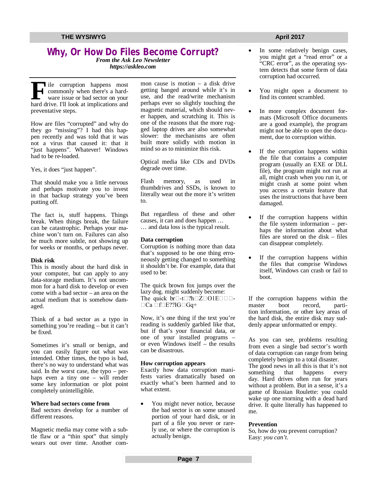# **Why, Or How Do Files Become Corrupt?**

*From the Ask Leo Newsletter <https://askleo.com>*

**F** ile corruption happens most<br>commonly when there's a hard-<br>ware issue or bad sector on your<br>hard drive. I'll look at implications and ile corruption happens most commonly when there's a hardware issue or bad sector on your preventative steps.

How are files "corrupted" and why do they go "missing"? I had this happen recently and was told that it was not a virus that caused it: that it "just happens". Whatever! Windows had to be re-loaded.

Yes, it does "just happen".

That should make you a little nervous and perhaps motivate you to invest in that backup strategy you've been putting off.

The fact is, stuff happens. Things break. When things break, the failure can be catastrophic. Perhaps your machine won't turn on. Failures can also be much more subtle, not showing up for weeks or months, or perhaps never.

### **Disk risk**

This is mostly about the hard disk in your computer, but can apply to any data-storage medium. It's not uncommon for a hard disk to develop or even come with a bad sector – an area on the actual medium that is somehow damaged.

Think of a bad sector as a typo in something you're reading – but it can't be fixed.

Sometimes it's small or benign, and you can easily figure out what was intended. Other times, the typo is bad, there's no way to understand what was said. In the worst case, the typo – perhaps even a tiny one – will render some key information or plot point completely unintelligible.

### **Where bad sectors come from**

Bad sectors develop for a number of different reasons.

Magnetic media may come with a subtle flaw or a "thin spot" that simply wears out over time. Another common cause is motion  $-$  a disk drive getting banged around while it's in use, and the read/write mechanism perhaps ever so slightly touching the magnetic material, which should never happen, and scratching it. This is one of the reasons that the more rugged laptop drives are also somewhat slower: the mechanisms are often built more solidly with motion in mind so as to minimize this risk.

Optical media like CDs and DVDs degrade over time.

Flash memory, as used in thumbdrives and SSDs, is known to literally wear out the more it's written to.

But regardless of these and other causes, it can and does happen … … and data loss is the typical result.

### **Data corruption**

Corruption is nothing more than data that's supposed to be one thing erroneously getting changed to something it shouldn't be. For example, data that used to be:

The quick brown fox jumps over the lazy dog. might suddenly become: The quick  $br\Box$ -t $\Box$ ?h $\Box$ Z $\Box$ O1E $\Box$  $\Box$ - $\Box$ Ca  $\Box$ f $\Box$ E??IG $\Box$ Gq+

Now, it's one thing if the text you're reading is suddenly garbled like that, but if that's your financial data, or one of your installed programs – or even Windows itself – the results can be disastrous.

### **How corruption appears**

Exactly how data corruption manifests varies dramatically based on exactly what's been harmed and to what extent.

 You might never notice, because the bad sector is on some unused portion of your hard disk, or in part of a file you never or rarely use, or where the corruption is actually benign.

### In some relatively benign cases, you might get a "read error" or a "CRC error", as the operating system detects that some form of data corruption had occurred.

- You might open a document to find its content scrambled.
- In more complex document formats (Microsoft Office documents are a good example), the program might not be able to open the document, due to corruption within.
- If the corruption happens within the file that contains a computer program (usually an EXE or DLL file), the program might not run at all, might crash when you run it, or might crash at some point when you access a certain feature that uses the instructions that have been damaged.
- If the corruption happens within the file system information – perhaps the information about what files are stored on the disk – files can disappear completely.
- If the corruption happens within the files that comprise Windows itself, Windows can crash or fail to boot.

If the corruption happens within the<br>master boot record, partimaster boot record, partition information, or other key areas of the hard disk, the entire disk may suddenly appear unformatted or empty.

As you can see, problems resulting from even a single bad sector's worth of data corruption can range from being completely benign to a total disaster. The good news in all this is that it's not something that happens every day. Hard drives often run for years without a problem. But in a sense, it's a game of Russian Roulette: you could wake up one morning with a dead hard drive. It quite literally has happened to me.

### **Prevention**

So, how do you prevent corruption? Easy: *you can't*.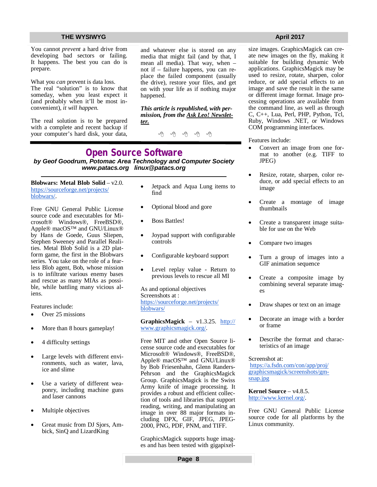You cannot *prevent* a hard drive from developing bad sectors or failing. It happens. The best you can do is prepare.

What you *can* prevent is data loss. The real "solution" is to know that someday, when you least expect it (and probably when it'll be most inconvenient), *it will happen*.

The real solution is to be prepared with a complete and recent backup if your computer's hard disk, your data, and whatever else is stored on any media that might fail (and by that, I mean all media). That way, when – not if – failure happens, you can replace the failed component (usually the drive), restore your files, and get on with your life as if nothing major happened.

*This article is republished, with permission, from the Ask Leo! Newsletter.* 

### **Open Source Software** *by Geof Goodrum, Potomac Area Technology and Computer Society [www.patacs.org](http://www.patacs.org) [linux@patacs.org](mailto:linux@patacs.org)*

**Blobwars: Metal Blob Solid** – v2.0. <https://sourceforge.net/projects/> blobwars/.

Free GNU General Public License source code and executables for Microsoft® Windows®, FreeBSD®, Apple® macOS™ and GNU/Linux® by Hans de Goede, Guus Sliepen, Stephen Sweeney and Parallel Realities. Metal Blob Solid is a 2D platform game, the first in the Blobwars series. You take on the role of a fearless Blob agent, Bob, whose mission is to infiltrate various enemy bases and rescue as many MIAs as possible, while battling many vicious aliens.

Features include:

- Over 25 missions
- More than 8 hours gameplay!
- 4 difficulty settings
- Large levels with different environments, such as water, lava, ice and slime
- Use a variety of different weaponry, including machine guns and laser cannons
- Multiple objectives
- Great music from DJ Sjors, Ambick, SinQ and LizardKing
- Jetpack and Aqua Lung items to find
- Optional blood and gore
- Boss Battles!
- Joypad support with configurable controls
- Configurable keyboard support
- Level replay value Return to previous levels to rescue all MI

As and optional objectives Screenshots at : <https://sourceforge.net/projects/> blobwars/

**GraphicsMagick** – v1.3.25. <http://> [www.graphicsmagick.org/.](http://www.graphicsmagick.org/.)

Free MIT and other Open Source license source code and executables for Microsoft® Windows®, FreeBSD®, Apple® macOS™ and GNU/Linux® by Bob Friesenhahn, Glenn Randers-Pehrson and the GraphicsMagick Group. GraphicsMagick is the Swiss Army knife of image processing. It provides a robust and efficient collection of tools and libraries that support reading, writing, and manipulating an image in over 88 major formats including DPX, GIF, JPEG, JPEG-2000, PNG, PDF, PNM, and TIFF.

GraphicsMagick supports huge images and has been tested with gigapixel-

size images. GraphicsMagick can create new images on the fly, making it suitable for building dynamic Web applications. GraphicsMagick may be used to resize, rotate, sharpen, color reduce, or add special effects to an image and save the result in the same or different image format. Image processing operations are available from the command line, as well as through C, C++, Lua, Perl, PHP, Python, Tcl, Ruby, Windows .NET, or Windows COM programming interfaces.

Features include:

- Convert an image from one format to another (e.g. TIFF to JPEG)
- Resize, rotate, sharpen, color reduce, or add special effects to an image
- Create a montage of image thumbnails
- Create a transparent image suitable for use on the Web
- Compare two images
- Turn a group of images into a GIF animation sequence
- Create a composite image by combining several separate images
- Draw shapes or text on an image
- Decorate an image with a border or frame
- Describe the format and characteristics of an image

### Screenshot at:

<https://a.fsdn.com/con/app/proj/> graphicsmagick/screenshots/gmsnap.jpg

**Kernel Source** – v4.8.5. <http://www.kernel.org/.>

Free GNU General Public License source code for all platforms by the Linux community.

**Page 8**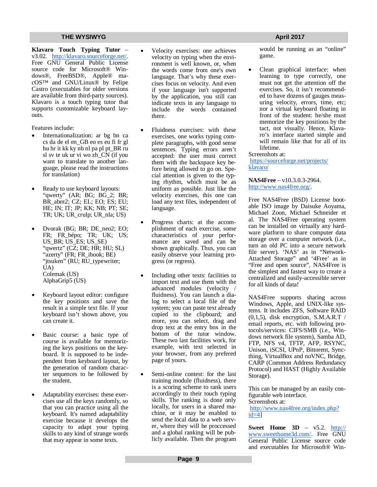**Klavaro Touch Typing Tutor** – v3.02. <http://klavaro.sourceforge.net/.> Free GNU General Public License source code for Microsoft® Windows®, FreeBSD®, Apple® macOS™ and GNU/Linux® by Felipe Castro (executables for older versions are available from third-party sources). Klavaro is a touch typing tutor that supports customizable keyboard layouts.

Features include:

- Internationalization: ar bg bn ca cs da de el en\_GB eo es eu fi fr gl hu hr it kk ky nb nl pa pl pt\_BR ru sl sv te uk ur vi wo zh\_CN (if you want to translate to another language, please read the instructions for translation)
- Ready to use keyboard layouts: "qwerty" (AR; BG; BG\_2; BR; BR\_abnt2; CZ; EL; EO; ES; EU; HE; IN; IT; JP; KK; NB; PT; SE; TR; UK; UR\_crulp; UR\_nla; US)
- Dvorak (BG; BR; DE\_neo2; EO; FR; FR bépo; TR; UK; US; US BR; US ES; US SE) "qwertz" (CZ; DE; HR; HU; SL) "azerty" (FR; FR\_ibook; BE) "jtsuken" (RU; RU\_typewriter; UA) Colemak (US) AlphaGrip5 (US)
- Keyboard layout editor: configure the key positions and save the result in a simple text file. If your keyboard isn't shown above, you can create it.
- Basic course: a basic type of course is available for memorizing the keys positions on the keyboard. It is supposed to be independent from keyboard layout, by the generation of random character sequences to be followed by the student.
- Adaptability exercises: these exercises use all the keys randomly, so that you can practice using all the keyboard. It's named adaptability exercise because it develops the capacity to adapt your typing skills to any kind of strange words that may appear in some texts.
- Velocity exercises: one achieves velocity on typing when the environment is well known, or, when the words come from one's own language. That's why these exercises focus on velocity. And even if your language isn't supported by the application, you still can indicate texts in any language to include the words contained there.
- Fluidness exercises: with these exercises, one works typing complete paragraphs, with good sense sentences. Typing errors aren't accepted: the user must correct them with the backspace key before being allowed to go on. Special attention is given to the typing rhythm, which must be as uniform as possible. Just like the velocity exercises, this one can load any text files, independent of language.
- Progress charts: at the accomplishment of each exercise, some characteristics of your performance are saved and can be shown graphically. Thus, you can easily observe your learning progress (or regress).
- Including other texts: facilities to import text and use them with the advanced modules (velocity / fluidness). You can launch a dialog to select a local file of the system; you can paste text already copied to the clipboard; and more, you can select, drag and drop text at the entry box in the bottom of the tutor window. These two last facilities work, for example, with text selected in your browser, from any prefered page of yours.
- Semi-online contest: for the last training module (fluidness), there is a scoring scheme to rank users accordingly to their touch typing skills. The ranking is done only locally, for users in a shared machine, or it may be enabled to send the local data to a web server, where they will be proccessed and a global ranking will be publicly available. Then the program

would be running as an "online" game.

 Clean graphical interface: when learning to type correctly, one must not get the attention off the exercises. So, it isn't recommended to have dozens of gauges measuring velocity, errors, time, etc; nor a virtual keyboard floating in front of the student: he/she must memorize the key positions by the tact, not visually. Hence, Klavaro's interface started simple and will remain like that for all of its lifetime.

Screenshots at:

<https://sourceforge.net/projects/> klavaro/

**NAS4Free** – v10.3.0.3-2964. <http://www.nas4free.org/.>

Free NAS4Free (BSD) License bootable ISO image by Daisuke Aoyama, Michael Zoon, Michael Schneider et al. The NAS4Free operating system can be installed on virtually any hardware platform to share computer data storage over a computer network (i.e., turn an old PC into a secure network file server). 'NAS' as in "Network-Attached Storage" and '4Free' as in "Free and open source", NAS4Free is the simplest and fastest way to create a centralized and easily-accessible server for all kinds of data!

NAS4Free supports sharing across Windows, Apple, and UNIX-like systems. It includes ZFS, Software RAID  $(0,1,5)$ , disk encryption, S.M.A.R.T / email reports, etc. with following protocols/services: CIFS/SMB (i.e., Windows network file system), Samba AD, FTP, NFS v4, TFTP, AFP, RSYNC, Unison, iSCSI, UPnP, Bittorent, Syncthing, VirtualBox and noVNC, Bridge, CARP (Common Address Redundancy Protocol) and HAST (Highly Available Storage).

This can be managed by an easily configurable web interface. Screenshots at: <http://www.nas4free.org/index.php?>  $id=4$ ]

**Sweet Home 3D** – v5.2. <http://> [www.sweethome3d.com/.](http://www.sweethome3d.com/.) Free GNU General Public License source code and executables for Microsoft® Win-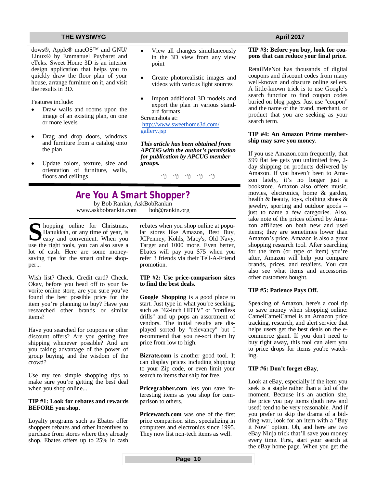dows®, Apple® macOS™ and GNU/ Linux® by Emmanuel Puybaret and eTeks. Sweet Home 3D is an interior design application that helps you to quickly draw the floor plan of your house, arrange furniture on it, and visit the results in 3D.

Features include:

- Draw walls and rooms upon the image of an existing plan, on one or more levels
- Drag and drop doors, windows and furniture from a catalog onto the plan
- Update colors, texture, size and orientation of furniture, walls, floors and ceilings
- View all changes simultaneously in the 3D view from any view point
- Create photorealistic images and videos with various light sources
- Import additional 3D models and export the plan in various standard formats

Screenshots at:

<http://www.sweethome3d.com/> gallery.jsp

*This article has been obtained from APCUG with the author's permission for publication by APCUG member groups.*

一个 一个 一个

# **Are You A Smart Shopper?**

by Bob Rankin, AskBobRankin<br>skbobrankin.com bob@rankin.org [www.askbobrankin.com](http://www.askbobrankin.com)

**S**hopping online for Christmas,<br>
Hanukkah, or any time of year, is<br>
easy and convenient. When you<br>
use the right tools, you can also save a hopping online for Christmas, Hanukkah, or any time of year, is **J** easy and convenient. When you lot of cash. Here are some moneysaving tips for the smart online shopper...

Wish list? Check. Credit card? Check. Okay, before you head off to your favorite online store, are you sure you've found the best possible price for the item you're planning to buy? Have you researched other brands or similar items?

Have you searched for coupons or other discount offers? Are you getting free shipping whenever possible? And are you taking advantage of the power of group buying, and the wisdom of the crowd?

Use my ten simple shopping tips to make sure you're getting the best deal when you shop online...

### **TIP #1: Look for rebates and rewards BEFORE you shop.**

Loyalty programs such as Ebates offer shoppers rebates and other incentives to purchase from stores where they already shop. Ebates offers up to 25% in cash rebates when you shop online at popular stores like Amazon, Best Buy, JCPenney, Kohls, Macy's, Old Navy, Target and 1000 more. Even better, Ebates will pay you \$75 when you refer 3 friends via their Tell-A-Friend promotion.

### **TIP #2: Use price-comparison sites to find the best deals.**

**Google Shopping** is a good place to start. Just type in what you're seeking, such as "42-inch HDTV" or "cordless drills" and up pops an assortment of vendors. The initial results are displayed sorted by "relevancy" but I recommend that you re-sort them by price from low to high.

**Bizrate.com** is another good tool. It can display prices including shipping to your Zip code, or even limit your search to items that ship for free.

**Pricegrabber.com** lets you save interesting items as you shop for comparison to others.

**Pricewatch.com** was one of the first price comparison sites, specializing in computers and electronics since 1995. They now list non-tech items as well.

### **TIP #3: Before you buy, look for coupons that can reduce your final price.**

RetailMeNot has thousands of digital coupons and discount codes from many well-known and obscure online sellers. A little-known trick is to use Google's search function to find coupon codes buried on blog pages. Just use "coupon" and the name of the brand, merchant, or product that you are seeking as your search term.

### **TIP #4: An Amazon Prime membership may save you money**.

If you use Amazon.com frequently, that \$99 flat fee gets you unlimited free, 2 day shipping on products delivered by Amazon. If you haven't been to Amazon lately, it's no longer just a bookstore. Amazon also offers music, movies, electronics, home & garden, health & beauty, toys, clothing shoes & jewelry, sporting and outdoor goods - just to name a few categories. Also, take note of the prices offered by Amazon affiliates on both new and used items; they are sometimes lower than Amazon's price. Amazon is also a great shopping research tool. After searching for the item (or type of item) you're after, Amazon will help you compare brands, prices, and retailers. You can also see what items and accessories other customers bought.

### **TIP #5: Patience Pays Off.**

Speaking of Amazon, here's a cool tip to save money when shopping online: CamelCamelCamel is an Amazon price tracking, research, and alert service that helps users get the best deals on the ecommerce giant. If you don't need to buy right away, this tool can alert you to price drops for items you're watching.

### **TIP #6: Don't forget eBay**,

Look at eBay, especially if the item you seek is a staple rather than a fad of the moment. Because it's an auction site, the price you pay items (both new and used) tend to be very reasonable. And if you prefer to skip the drama of a bidding war, look for an item with a "Buy it Now" option. Oh, and here are two eBay Ninja trick that'll save you money every time. First, start your search at the eBay home page. When you get the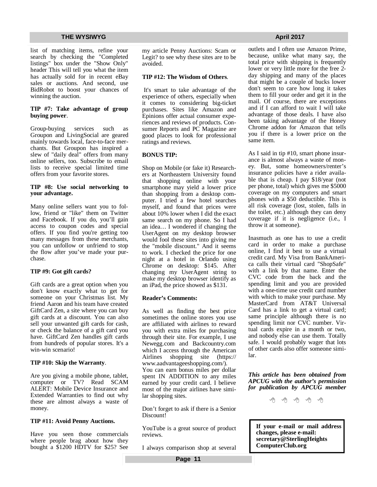list of matching items, refine your search by checking the "Completed listings" box under the "Show Only" header This will tell you what the item has actually sold for in recent eBay sales or auctions. And second, use BidRobot to boost your chances of winning the auction.

### **TIP #7: Take advantage of group buying power**.

Group-buying services such as Groupon and LivingSocial are geared mainly towards local, face-to-face merchants. But Groupon has inspired a slew of "daily deal" offers from many online sellers, too. Subscribe to email lists to receive special limited time offers from your favorite stores.

### **TIP #8: Use social networking to your advantage.**

Many online sellers want you to follow, friend or "like" them on Twitter and Facebook. If you do, you'll gain access to coupon codes and special offers. If you find you're getting too many messages from these merchants, you can unfollow or unfriend to stop the flow after you've made your purchase.

### **TIP #9: Got gift cards?**

Gift cards are a great option when you don't know exactly what to get for someone on your Christmas list. My friend Aaron and his team have created GiftCard Zen, a site where you can buy gift cards at a discount. You can also sell your unwanted gift cards for cash, or check the balance of a gift card you have. GiftCard Zen handles gift cards from hundreds of popular stores. It's a win-win scenario!

### **TIP #10: Skip the Warranty**.

Are you giving a mobile phone, tablet, computer or TV? Read SCAM ALERT: Mobile Device Insurance and Extended Warranties to find out why these are almost always a waste of money.

### **TIP #11: Avoid Penny Auctions.**

Have you seen those commercials where people brag about how they bought a \$1200 HDTV for \$25? See my article Penny Auctions: Scam or Legit? to see why these sites are to be avoided.

### **TIP #12: The Wisdom of Others**.

It's smart to take advantage of the experience of others, especially when it comes to considering big-ticket purchases. Sites like Amazon and Epinions offer actual consumer experiences and reviews of products. Consumer Reports and PC Magazine are good places to look for professional ratings and reviews.

### **BONUS TIP:**

Shop on Mobile (or fake it) Researchers at Northeastern University found that shopping online with your smartphone may yield a lower price than shopping from a desktop computer. I tried a few hotel searches myself, and found that prices were about 10% lower when I did the exact same search on my phone. So I had an idea… I wondered if changing the UserAgent on my desktop browser would fool these sites into giving me the "mobile discount." And it seems to work. I checked the price for one night at a hotel in Orlando using Chrome on desktop: \$145. After changing my UserAgent string to make my desktop browser identify as an iPad, the price showed as \$131.

### **Reader's Comments:**

As well as finding the best price sometimes the online stores you use are affiliated with airlines to reward you with extra miles for purchasing through their site. For example, I use Newegg.com and Backcountry.com which I access through the American Airlines shopping site (https:// [www.aadvantageeshopping.com/\).](http://www.aadvantageeshopping.com/).)  You can earn bonus miles per dollar spent IN ADDITION to any miles earned by your credit card. I believe most of the major airlines have similar shopping sites.

Don't forget to ask if there is a Senior Discount!

YouTube is a great source of product reviews.

I always comparison shop at several

outlets and I often use Amazon Prime, because, unlike what many say, the total price with shipping is frequently lower or very little more for the free 2 day shipping and many of the places that might be a couple of bucks lower don't seem to care how long it takes them to fill your order and get it in the mail. Of course, there are exceptions and if I can afford to wait I will take advantage of those deals. I have also been taking advantage of the Honey Chrome addon for Amazon that tells you if there is a lower price on the same item.

As I said in tip #10, smart phone insurance is almost always a waste of money. But, some homeowners/renter's insurance policies have a rider available that is cheap. I pay \$18/year (not per phone, total) which gives me \$5000 coverage on my computers and smart phones with a \$50 deductible. This is all risk coverage (lost, stolen, falls in the toilet, etc.) although they can deny coverage if it is negligence (i.e., I throw it at someone).

Inasmuch as one has to use a credit card in order to make a purchase online, I find it best to use a virtual credit card. My Visa from BankAmerica calls their virtual card "ShopSafe" with a link by that name. Enter the CVC code from the back and the spending limit and you are provided with a one-time use credit card number with which to make your purchase. My MasterCard from AT&T Universal Card has a link to get a virtual card; same principle although there is no spending limit nor CVC number. Virtual cards expire in a month or two, and nobody else can use them. Totally safe. I would probably wager that lots of other cards also offer someone similar.

*This article has been obtained from APCUG with the author's permission for publication by APCUG member* 

一个 一个

**If your e-mail or mail address changes, please e-mail: secretary@SterlingHeights ComputerClub.org**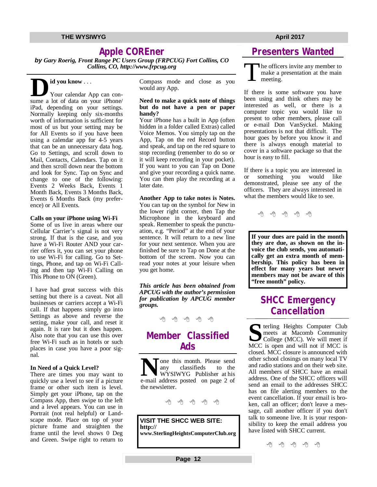# **Apple COREner**

*by Gary Roerig, Front Range PC Users Group (FRPCUG) Fort Collins, CO Collins, CO,<http://www.frpcug.org>*

# **id you know** . . .

**D**<br>
Your calendar App can consume a lot of data on your iPhone/ Your calendar App can coniPad, depending on your settings. Normally keeping only six-months worth of information is sufficient for most of us but your setting may be for All Events so if you have been using a calendar app for 4-5 years that can be an unnecessary data hog. Go to Settings, and scroll down to Mail, Contacts, Calendars. Tap on it and then scroll down near the bottom and look for Sync. Tap on Sync and change to one of the following: Events 2 Weeks Back, Events 1 Month Back, Events 3 Months Back, Events 6 Months Back (my preference) or All Events.

### **Calls on your iPhone using Wi-Fi**

Some of us live in areas where our Cellular Carrier's signal is not very strong. If that is the case, and you have a Wi-Fi Router AND your carrier offers it, you can set your phone to use Wi-Fi for calling. Go to Settings, Phone, and tap on Wi-Fi Calling and then tap Wi-Fi Calling on This Phone to ON (Green).

I have had great success with this setting but there is a caveat. Not all businesses or carriers accept a Wi-Fi call. If that happens simply go into Settings as above and reverse the setting, make your call, and reset it again. It is rare but it does happen. Also note that you can use this over free Wi-Fi such as in hotels or such places in case you have a poor signal.

### **In Need of a Quick Level?**

There are times you may want to quickly use a level to see if a picture frame or other such item is level. Simply get your iPhone, tap on the Compass App, then swipe to the left and a level appears. You can use in Portrait (not real helpful) or Landscape mode. Place on top of your picture frame and straighten the frame until the level shows 0 Deg and Green. Swipe right to return to Compass mode and close as you would any App.

### **Need to make a quick note of things but do not have a pen or paper handy?**

Your iPhone has a built in App (often hidden in a folder called Extras) called Voice Memos. You simply tap on the App, Tap on the red Record button and speak, and tap on the red square to stop recording (remember to do so or it will keep recording in your pocket). If you want to you can Tap on Done and give your recording a quick name. You can then play the recording at a later date.

### **Another App to take notes is Notes.**

You can tap on the symbol for New in the lower right corner, then Tap the Microphone in the keyboard and speak. Remember to speak the punctuation, e.g. "Period" at the end of your sentence. It will return to a new line for your next sentence. When you are finished be sure to Tap on Done at the bottom of the screen. Now you can read your notes at your leisure when you get home.

*This article has been obtained from APCUG with the author's permission for publication by APCUG member groups.*

- 우수 - 우수

# **Member Classified Ads**

**N**one this month. Please send<br>
any classifieds to the<br>
e-mail address posted on page 2 of Tone this month. Please send<br>any classifieds to the any classifieds WYSIWYG Publisher at his the newsletter.

西 西 西 西

**VISIT THE SHCC WEB SITE: <http://> [www.SterlingHeightsComputerClub.org](http://www.SterlingHeightsComputerClub.org)**

# **Presenters Wanted**

The office<br>
make a p<br>
meeting. he officers invite any member to make a presentation at the main

If there is some software you have been using and think others may be interested as well, or there is a computer topic you would like to present to other members, please call or e-mail Don VanSyckel. Making presentations is not that difficult. The hour goes by before you know it and there is always enough material to cover in a software package so that the hour is easy to fill.

If there is a topic you are interested in or something you would like demonstrated, please see any of the officers. They are always interested in what the members would like to see.

一个 一个

**If your dues are paid in the month they are due, as shown on the invoice the club sends, you automatically get an extra month of membership. This policy has been in effect for many years but newer members may not be aware of this "free month" policy.**

# **SHCC Emergency Cancellation**

**S** terling Heights Computer Club meets at Macomb Community College (MCC). We will meet if MCC is open and will not if MCC is closed. MCC closure is announced with other school closings on many local TV and radio stations and on their web site. All members of SHCC have an email address. One of the SHCC officers will send an email to the addresses SHCC has on file alerting members to the event cancellation. If your email is broken, call an officer; don't leave a message, call another officer if you don't talk to someone live. It is your responsibility to keep the email address you have listed with SHCC current.

一个 一个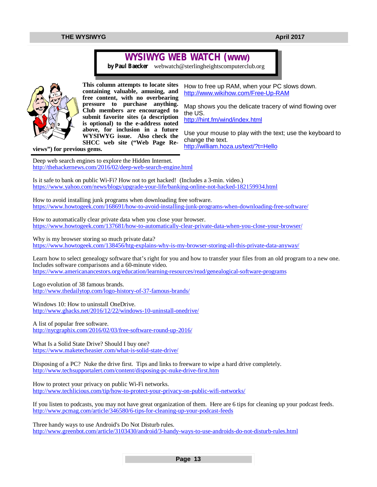# **WYSIWYG WEB WATCH (www)**

*by Paul Baecker* [webwatch@sterlingheightscomputerclub.org](mailto:webwatch@sterlingheightscomputerclub.org)



**This column attempts to locate sites containing valuable, amusing, and free content, with no overbearing pressure to purchase anything. Club members are encouraged to submit favorite sites (a description is optional) to the e-address noted above, for inclusion in a future WYSIWYG issue. Also check the SHCC web site ("Web Page Re-**

How to free up RAM, when your PC slows down. <http://www.wikihow.com/Free-Up-RAM>

Map shows you the delicate tracery of wind flowing over the US. <http://hint.fm/wind/index.html>

Use your mouse to play with the text; use the keyboard to change the text. <http://william.hoza.us/text/?t=Hello>

**views") for previous gems.** 

Deep web search engines to explore the Hidden Internet. <http://thehackernews.com/2016/02/deep-web-search-engine.html>

Is it safe to bank on public Wi-Fi? How not to get hacked! (Includes a 3-min. video.) <https://www.yahoo.com/news/blogs/upgrade-your-life/banking-online-not-hacked-182159934.html>

How to avoid installing junk programs when downloading free software. <https://www.howtogeek.com/168691/how-to-avoid-installing-junk-programs-when-downloading-free-software/>

How to automatically clear private data when you close your browser. <https://www.howtogeek.com/137681/how-to-automatically-clear-private-data-when-you-close-your-browser/>

Why is my browser storing so much private data? <https://www.howtogeek.com/138456/htg-explains-why-is-my-browser-storing-all-this-private-data-anyway/>

Learn how to select genealogy software that's right for you and how to transfer your files from an old program to a new one. Includes software comparisons and a 60-minute video. <https://www.americanancestors.org/education/learning-resources/read/genealogical-software-programs>

Logo evolution of 38 famous brands. <http://www.thedailytop.com/logo-history-of-37-famous-brands/>

Windows 10: How to uninstall OneDrive. <http://www.ghacks.net/2016/12/22/windows-10-uninstall-onedrive/>

A list of popular free software. <http://nycgraphix.com/2016/02/03/free-software-round-up-2016/>

What Is a Solid State Drive? Should I buy one? <https://www.maketecheasier.com/what-is-solid-state-drive/>

Disposing of a PC? Nuke the drive first. Tips and links to freeware to wipe a hard drive completely. <http://www.techsupportalert.com/content/disposing-pc-nuke-drive-first.htm>

How to protect your privacy on public Wi-Fi networks. <http://www.techlicious.com/tip/how-to-protect-your-privacy-on-public-wifi-networks/>

If you listen to podcasts, you may not have great organization of them. Here are 6 tips for cleaning up your podcast feeds. <http://www.pcmag.com/article/346580/6-tips-for-cleaning-up-your-podcast-feeds>

Three handy ways to use Android's Do Not Disturb rules. <http://www.greenbot.com/article/3103430/android/3-handy-ways-to-use-androids-do-not-disturb-rules.html>